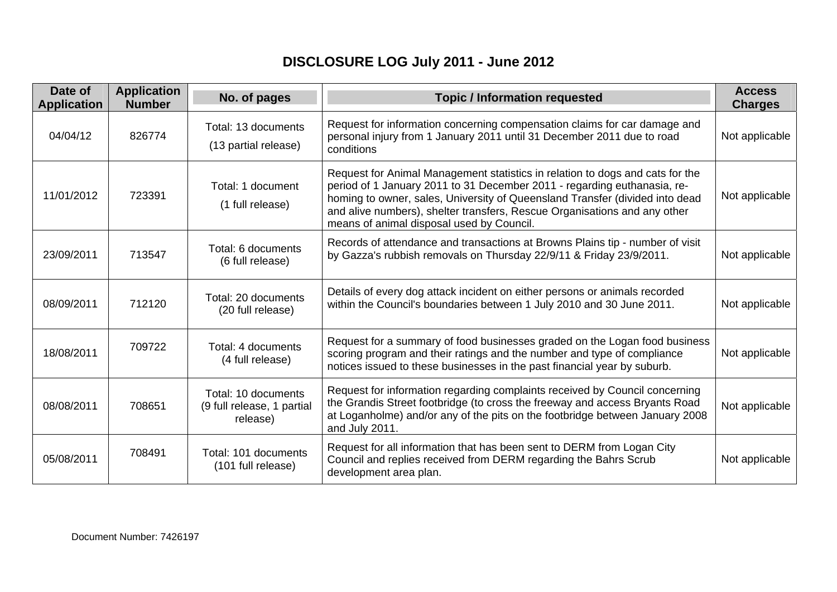## **DISCLOSURE LOG July 2011 - June 2012**

| Date of<br><b>Application</b> | <b>Application</b><br><b>Number</b> | No. of pages                                                  | <b>Topic / Information requested</b>                                                                                                                                                                                                                                                                                                                                | <b>Access</b><br><b>Charges</b> |
|-------------------------------|-------------------------------------|---------------------------------------------------------------|---------------------------------------------------------------------------------------------------------------------------------------------------------------------------------------------------------------------------------------------------------------------------------------------------------------------------------------------------------------------|---------------------------------|
| 04/04/12                      | 826774                              | Total: 13 documents<br>(13 partial release)                   | Request for information concerning compensation claims for car damage and<br>personal injury from 1 January 2011 until 31 December 2011 due to road<br>conditions                                                                                                                                                                                                   | Not applicable                  |
| 11/01/2012                    | 723391                              | Total: 1 document<br>(1 full release)                         | Request for Animal Management statistics in relation to dogs and cats for the<br>period of 1 January 2011 to 31 December 2011 - regarding euthanasia, re-<br>homing to owner, sales, University of Queensland Transfer (divided into dead<br>and alive numbers), shelter transfers, Rescue Organisations and any other<br>means of animal disposal used by Council. | Not applicable                  |
| 23/09/2011                    | 713547                              | Total: 6 documents<br>(6 full release)                        | Records of attendance and transactions at Browns Plains tip - number of visit<br>by Gazza's rubbish removals on Thursday 22/9/11 & Friday 23/9/2011.                                                                                                                                                                                                                | Not applicable                  |
| 08/09/2011                    | 712120                              | Total: 20 documents<br>(20 full release)                      | Details of every dog attack incident on either persons or animals recorded<br>within the Council's boundaries between 1 July 2010 and 30 June 2011.                                                                                                                                                                                                                 | Not applicable                  |
| 18/08/2011                    | 709722                              | Total: 4 documents<br>(4 full release)                        | Request for a summary of food businesses graded on the Logan food business<br>scoring program and their ratings and the number and type of compliance<br>notices issued to these businesses in the past financial year by suburb.                                                                                                                                   | Not applicable                  |
| 08/08/2011                    | 708651                              | Total: 10 documents<br>(9 full release, 1 partial<br>release) | Request for information regarding complaints received by Council concerning<br>the Grandis Street footbridge (to cross the freeway and access Bryants Road<br>at Loganholme) and/or any of the pits on the footbridge between January 2008<br>and July 2011.                                                                                                        | Not applicable                  |
| 05/08/2011                    | 708491                              | Total: 101 documents<br>(101 full release)                    | Request for all information that has been sent to DERM from Logan City<br>Council and replies received from DERM regarding the Bahrs Scrub<br>development area plan.                                                                                                                                                                                                | Not applicable                  |